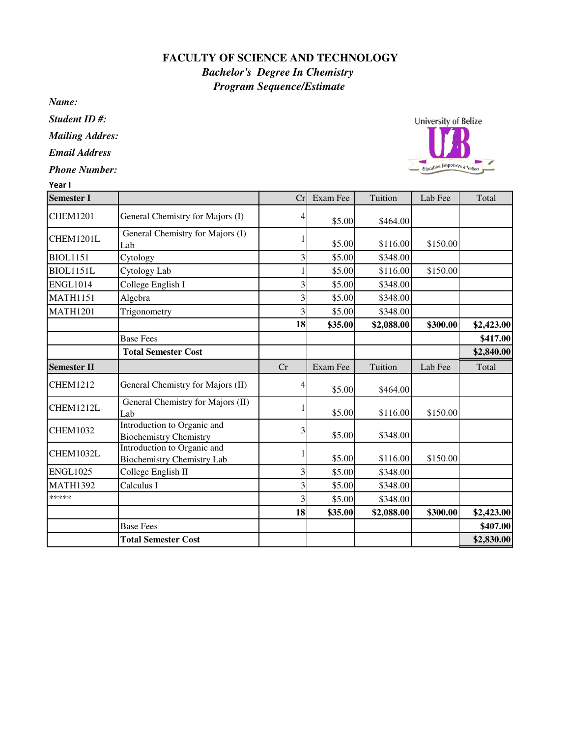## **FACULTY OF SCIENCE AND TECHNOLOGY** *Bachelor's Degree In Chemistry Program Sequence/Estimate*

*Name:*

*Student ID #:*

*Mailing Addres:*

*Email Address*

*Phone Number:*

| Year I             |                                                                  |    |          |            |          |            |
|--------------------|------------------------------------------------------------------|----|----------|------------|----------|------------|
| <b>Semester I</b>  |                                                                  | Cr | Exam Fee | Tuition    | Lab Fee  | Total      |
| <b>CHEM1201</b>    | General Chemistry for Majors (I)                                 |    | \$5.00   | \$464.00   |          |            |
| CHEM1201L          | General Chemistry for Majors (I)<br>Lab                          |    | \$5.00   | \$116.00   | \$150.00 |            |
| <b>BIOL1151</b>    | Cytology                                                         | 3  | \$5.00   | \$348.00   |          |            |
| <b>BIOL1151L</b>   | Cytology Lab                                                     |    | \$5.00   | \$116.00   | \$150.00 |            |
| <b>ENGL1014</b>    | College English I                                                |    | \$5.00   | \$348.00   |          |            |
| <b>MATH1151</b>    | Algebra                                                          |    | \$5.00   | \$348.00   |          |            |
| <b>MATH1201</b>    | Trigonometry                                                     |    | \$5.00   | \$348.00   |          |            |
|                    |                                                                  | 18 | \$35.00  | \$2,088.00 | \$300.00 | \$2,423.00 |
|                    | <b>Base Fees</b>                                                 |    |          |            |          | \$417.00   |
|                    | <b>Total Semester Cost</b>                                       |    |          |            |          | \$2,840.00 |
| <b>Semester II</b> |                                                                  | Cr | Exam Fee | Tuition    | Lab Fee  | Total      |
| <b>CHEM1212</b>    | General Chemistry for Majors (II)                                |    | \$5.00   | \$464.00   |          |            |
| CHEM1212L          | General Chemistry for Majors (II)<br>Lab                         |    | \$5.00   | \$116.00   | \$150.00 |            |
| <b>CHEM1032</b>    | Introduction to Organic and<br><b>Biochemistry Chemistry</b>     | 3  | \$5.00   | \$348.00   |          |            |
| CHEM1032L          | Introduction to Organic and<br><b>Biochemistry Chemistry Lab</b> |    | \$5.00   | \$116.00   | \$150.00 |            |
| <b>ENGL1025</b>    | College English II                                               | 3  | \$5.00   | \$348.00   |          |            |
| <b>MATH1392</b>    | Calculus I                                                       | 3  | \$5.00   | \$348.00   |          |            |
| *****              |                                                                  |    | \$5.00   | \$348.00   |          |            |
|                    |                                                                  | 18 | \$35.00  | \$2,088.00 | \$300.00 | \$2,423.00 |
|                    | <b>Base Fees</b>                                                 |    |          |            |          | \$407.00   |
|                    | <b>Total Semester Cost</b>                                       |    |          |            |          | \$2,830.00 |

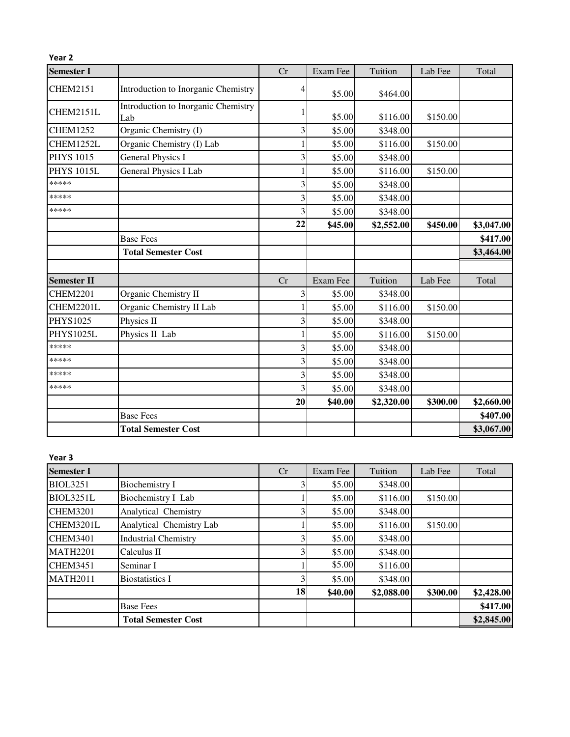| Year <sub>2</sub>  |                                            |    |          |            |          |            |
|--------------------|--------------------------------------------|----|----------|------------|----------|------------|
| <b>Semester I</b>  |                                            | Cr | Exam Fee | Tuition    | Lab Fee  | Total      |
| <b>CHEM2151</b>    | Introduction to Inorganic Chemistry        | 4  | \$5.00   | \$464.00   |          |            |
| CHEM2151L          | Introduction to Inorganic Chemistry<br>Lab |    | \$5.00   | \$116.00   | \$150.00 |            |
| <b>CHEM1252</b>    | Organic Chemistry (I)                      | 3  | \$5.00   | \$348.00   |          |            |
| CHEM1252L          | Organic Chemistry (I) Lab                  |    | \$5.00   | \$116.00   | \$150.00 |            |
| <b>PHYS 1015</b>   | <b>General Physics I</b>                   | 3  | \$5.00   | \$348.00   |          |            |
| <b>PHYS 1015L</b>  | General Physics I Lab                      |    | \$5.00   | \$116.00   | \$150.00 |            |
| *****              |                                            | 3  | \$5.00   | \$348.00   |          |            |
| *****              |                                            | 3  | \$5.00   | \$348.00   |          |            |
| *****              |                                            | 3  | \$5.00   | \$348.00   |          |            |
|                    |                                            | 22 | \$45.00  | \$2,552.00 | \$450.00 | \$3,047.00 |
|                    | <b>Base Fees</b>                           |    |          |            |          | \$417.00   |
|                    | <b>Total Semester Cost</b>                 |    |          |            |          | \$3,464.00 |
| <b>Semester II</b> |                                            | Cr | Exam Fee | Tuition    | Lab Fee  | Total      |
| <b>CHEM2201</b>    | Organic Chemistry II                       | 3  | \$5.00   | \$348.00   |          |            |
| CHEM2201L          | Organic Chemistry II Lab                   |    | \$5.00   | \$116.00   | \$150.00 |            |
| <b>PHYS1025</b>    | Physics II                                 | 3  | \$5.00   | \$348.00   |          |            |
| PHYS1025L          | Physics II Lab                             |    | \$5.00   | \$116.00   | \$150.00 |            |
| *****              |                                            | 3  | \$5.00   | \$348.00   |          |            |
| *****              |                                            | 3  | \$5.00   | \$348.00   |          |            |
| *****              |                                            | 3  | \$5.00   | \$348.00   |          |            |
| *****              |                                            | 3  | \$5.00   | \$348.00   |          |            |
|                    |                                            | 20 | \$40.00  | \$2,320.00 | \$300.00 | \$2,660.00 |
|                    | <b>Base Fees</b>                           |    |          |            |          | \$407.00   |
|                    | <b>Total Semester Cost</b>                 |    |          |            |          | \$3,067.00 |

## Year 3

| <b>Semester I</b> |                             | Cr | Exam Fee | Tuition    | Lab Fee  | Total      |
|-------------------|-----------------------------|----|----------|------------|----------|------------|
| <b>BIOL3251</b>   | <b>Biochemistry I</b>       |    | \$5.00   | \$348.00   |          |            |
| <b>BIOL3251L</b>  | Biochemistry I Lab          |    | \$5.00   | \$116.00   | \$150.00 |            |
| <b>CHEM3201</b>   | Analytical Chemistry        |    | \$5.00   | \$348.00   |          |            |
| CHEM3201L         | Analytical Chemistry Lab    |    | \$5.00   | \$116.00   | \$150.00 |            |
| <b>CHEM3401</b>   | <b>Industrial Chemistry</b> |    | \$5.00   | \$348.00   |          |            |
| <b>MATH2201</b>   | Calculus II                 |    | \$5.00   | \$348.00   |          |            |
| <b>CHEM3451</b>   | Seminar I                   |    | \$5.00   | \$116.00   |          |            |
| <b>MATH2011</b>   | <b>Biostatistics I</b>      |    | \$5.00   | \$348.00   |          |            |
|                   |                             | 18 | \$40.00  | \$2,088.00 | \$300.00 | \$2,428.00 |
|                   | <b>Base Fees</b>            |    |          |            |          | \$417.00   |
|                   | <b>Total Semester Cost</b>  |    |          |            |          | \$2,845.00 |